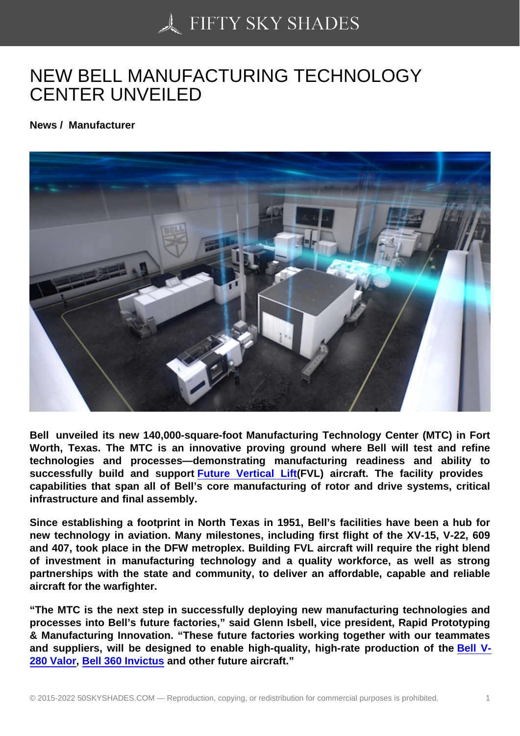## [NEW BELL MANUFAC](https://50skyshades.com)TURING TECHNOLOGY CENTER UNVEILED

News / Manufacturer

Bell unveiled its new 140,000-square-foot Manufacturing Technology Center (MTC) in Fort Worth, Texas. The MTC is an innovative proving ground where Bell will test and refine technologies and processes—demonstrating manufacturing readiness and ability to successfully build and support Future Vertical Lift (FVL) aircraft. The facility provides capabilities that span all of Bell's core manufacturing of rotor and drive systems, critical infrastructure and final assembly.

Since establishing a footprint in N[orth Texas in 1951, Be](https://www.bellflight.com/experience/future-vertical-lift)ll's facilities have been a hub for new technology in aviation. Many milestones, including first flight of the XV-15, V-22, 609 and 407, took place in the DFW metroplex. Building FVL aircraft will require the right blend of investment in manufacturing technology and a quality workforce, as well as strong partnerships with the state and community, to deliver an affordable, capable and reliable aircraft for the warfighter.

"The MTC is the next step in successfully deploying new manufacturing technologies and processes into Bell's future factories," said Glenn Isbell, vice president, Rapid Prototyping & Manufacturing Innovation. "These future factories working together with our teammates and suppliers, will be designed to enable high-quality, high-rate production of the Bell V-280 Valor , Bell 360 Invictus and other future aircraft."